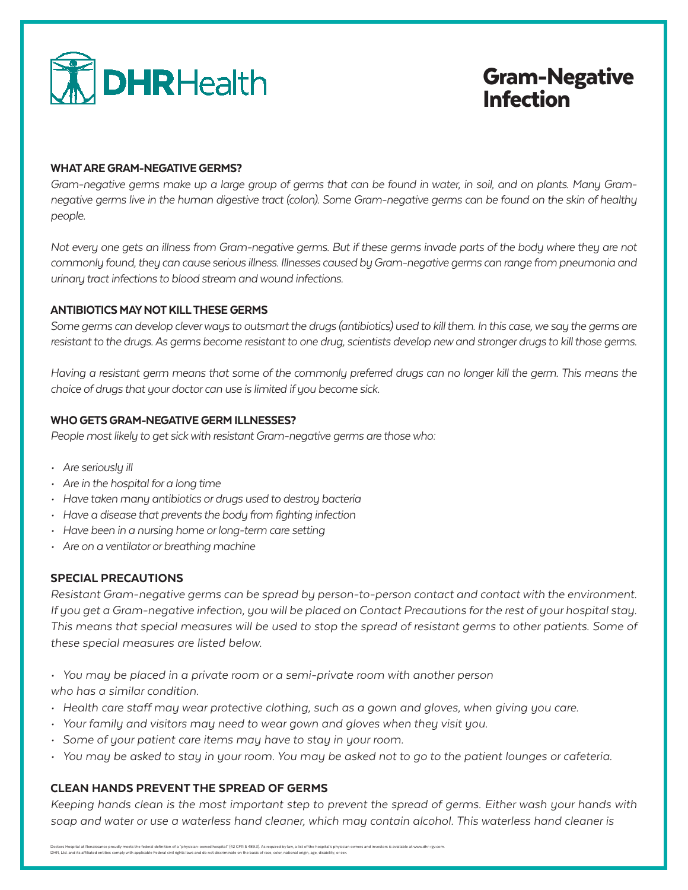

# Gram-Negative Infection

#### WHAT ARE GRAM-NEGATIVE GERMS?

*Gram-negative germs make up a large group of germs that can be found in water, in soil, and on plants. Many Gramnegative germs live in the human digestive tract (colon). Some Gram-negative germs can be found on the skin of healthy people.*

*Not every one gets an illness from Gram-negative germs. But if these germs invade parts of the body where they are not commonly found, they can cause serious illness. Illnesses caused by Gram-negative germs can range from pneumonia and urinary tract infections to blood stream and wound infections.*

### ANTIBIOTICS MAY NOT KILL THESE GERMS

*Some germs can develop clever ways to outsmart the drugs (antibiotics) used to kill them. In this case, we say the germs are resistant to the drugs. As germs become resistant to one drug, scientists develop new and stronger drugs to kill those germs.*

*Having a resistant germ means that some of the commonly preferred drugs can no longer kill the germ. This means the choice of drugs that your doctor can use is limited if you become sick.*

## WHO GETS GRAM-NEGATIVE GERM ILLNESSES?

*People most likely to get sick with resistant Gram-negative germs are those who:*

- *• Are seriously ill*
- *• Are in the hospital for a long time*
- *• Have taken many antibiotics or drugs used to destroy bacteria*
- *• Have a disease that prevents the body from fighting infection*
- *• Have been in a nursing home or long-term care setting*
- *• Are on a ventilator or breathing machine*

### SPECIAL PRECAUTIONS

*Resistant Gram-negative germs can be spread by person-to-person contact and contact with the environment. If you get a Gram-negative infection, you will be placed on Contact Precautions for the rest of your hospital stay. This means that special measures will be used to stop the spread of resistant germs to other patients. Some of these special measures are listed below.*

- *• You may be placed in a private room or a semi-private room with another person who has a similar condition.*
- *• Health care staff may wear protective clothing, such as a gown and gloves, when giving you care.*
- *• Your family and visitors may need to wear gown and gloves when they visit you.*
- *• Some of your patient care items may have to stay in your room.*
- *• You may be asked to stay in your room. You may be asked not to go to the patient lounges or cafeteria.*

### CLEAN HANDS PREVENT THE SPREAD OF GERMS

*Keeping hands clean is the most important step to prevent the spread of germs. Either wash your hands with soap and water or use a waterless hand cleaner, which may contain alcohol. This waterless hand cleaner is*

Doctors Hospital at Renaissance proudly meets the federal definition of a "physician-owned hospital" (42 CFR \$ 489.3). As required by law, a list of the hospital's physician owners and investors is available at www.dhr-rgv DHR, Ltd. and its affiliated entities comply with applicable Federal civil rights laws and do not discriminate on the basis of race, color, national origin, age, disability, or sex.